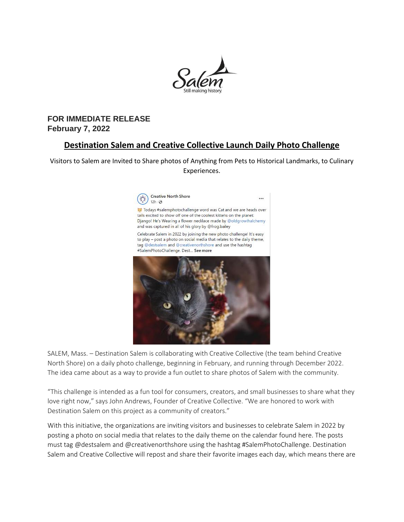

# **FOR IMMEDIATE RELEASE February 7, 2022**

# **Destination Salem and Creative Collective Launch Daily Photo Challenge**

Visitors to Salem are Invited to Share photos of Anything from Pets to Historical Landmarks, to Culinary Experiences.



SALEM, Mass. – Destination Salem is collaborating with Creative Collective (the team behind Creative North Shore) on a daily photo challenge, beginning in February, and running through December 2022. The idea came about as a way to provide a fun outlet to share photos of Salem with the community.

"This challenge is intended as a fun tool for consumers, creators, and small businesses to share what they love right now," says John Andrews, Founder of Creative Collective. "We are honored to work with Destination Salem on this project as a community of creators."

With this initiative, the organizations are inviting visitors and businesses to celebrate Salem in 2022 by posting a photo on social media that relates to the daily theme on the calendar found here. The posts must tag @destsalem and @creativenorthshore using the hashtag #SalemPhotoChallenge. Destination Salem and Creative Collective will repost and share their favorite images each day, which means there are